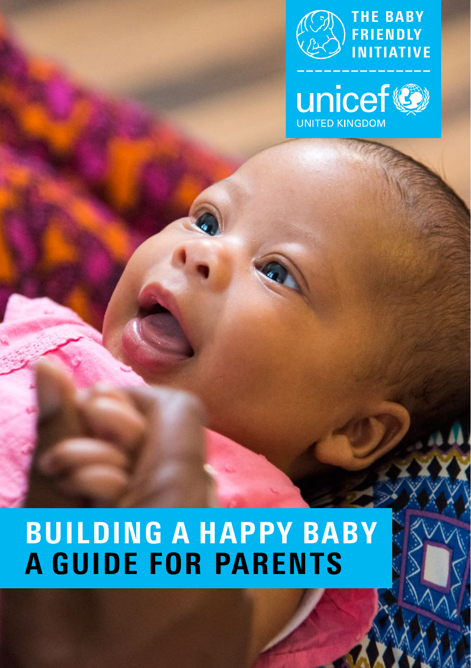



# BUILDING A HAPPY BABY A GUIDE FOR PARENTS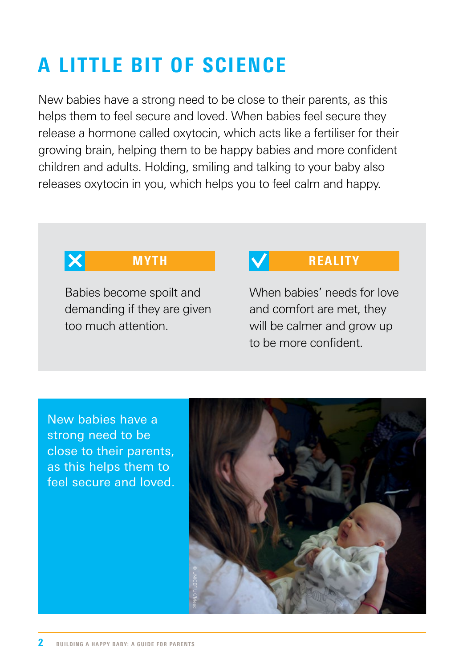## A LITTLE BIT OF SCIENCE

New babies have a strong need to be close to their parents, as this helps them to feel secure and loved. When babies feel secure they release a hormone called oxytocin, which acts like a fertiliser for their growing brain, helping them to be happy babies and more confident children and adults. Holding, smiling and talking to your baby also releases oxytocin in you, which helps you to feel calm and happy.



Babies become spoilt and demanding if they are given too much attention.

#### MYTH **V** REALITY

When babies' needs for love and comfort are met, they will be calmer and grow up to be more confident.

New babies have a strong need to be close to their parents, as this helps them to feel secure and loved.

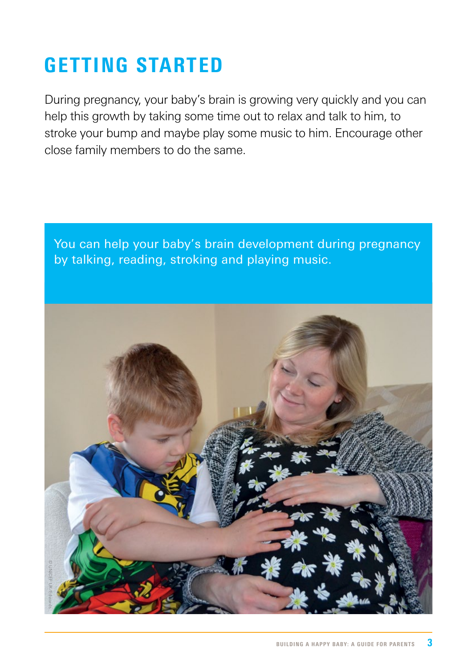## GETTING STARTED

During pregnancy, your baby's brain is growing very quickly and you can help this growth by taking some time out to relax and talk to him, to stroke your bump and maybe play some music to him. Encourage other close family members to do the same.

You can help your baby's brain development during pregnancy by talking, reading, stroking and playing music.

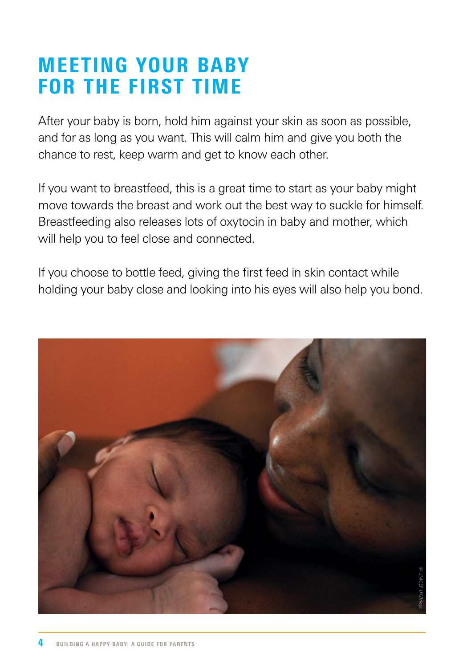## MEETING YOUR BABY FOR THE FIRST TIME

After your baby is born, hold him against your skin as soon as possible, and for as long as you want. This will calm him and give you both the chance to rest, keep warm and get to know each other.

If you want to breastfeed, this is a great time to start as your baby might move towards the breast and work out the best way to suckle for himself. Breastfeeding also releases lots of oxytocin in baby and mother, which will help you to feel close and connected.

If you choose to bottle feed, giving the first feed in skin contact while holding your baby close and looking into his eyes will also help you bond.

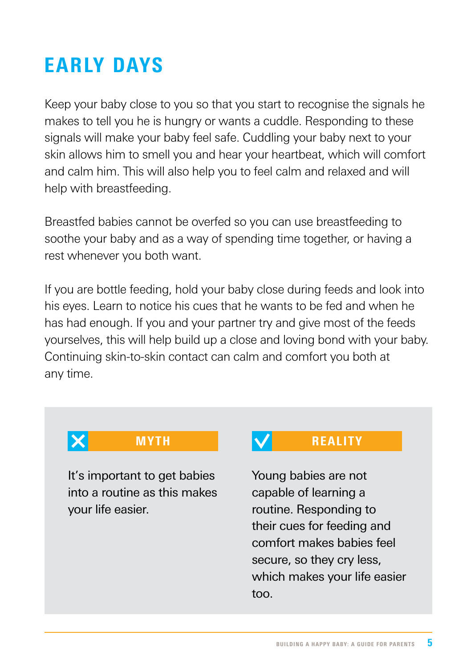## EARLY DAYS

Keep your baby close to you so that you start to recognise the signals he makes to tell you he is hungry or wants a cuddle. Responding to these signals will make your baby feel safe. Cuddling your baby next to your skin allows him to smell you and hear your heartbeat, which will comfort and calm him. This will also help you to feel calm and relaxed and will help with breastfeeding.

Breastfed babies cannot be overfed so you can use breastfeeding to soothe your baby and as a way of spending time together, or having a rest whenever you both want.

If you are bottle feeding, hold your baby close during feeds and look into his eyes. Learn to notice his cues that he wants to be fed and when he has had enough. If you and your partner try and give most of the feeds yourselves, this will help build up a close and loving bond with your baby. Continuing skin-to-skin contact can calm and comfort you both at any time.

## $\boldsymbol{\times}$

It's important to get babies into a routine as this makes your life easier.

#### MYTH **V** REALITY

Young babies are not capable of learning a routine. Responding to their cues for feeding and comfort makes babies feel secure, so they cry less, which makes your life easier too.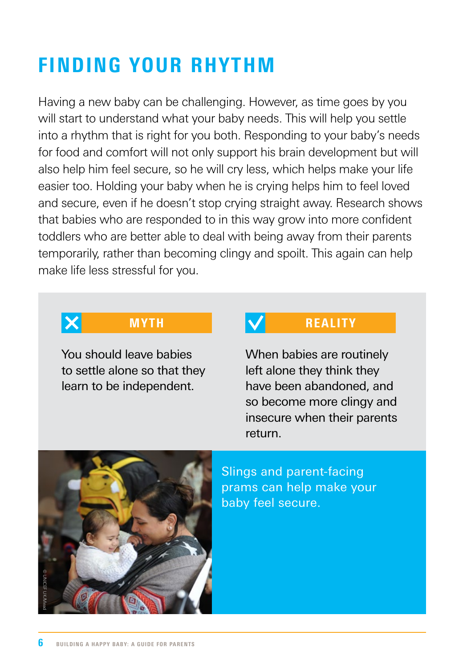## FINDING YOUR RHYTHM

Having a new baby can be challenging. However, as time goes by you will start to understand what your baby needs. This will help you settle into a rhythm that is right for you both. Responding to your baby's needs for food and comfort will not only support his brain development but will also help him feel secure, so he will cry less, which helps make your life easier too. Holding your baby when he is crying helps him to feel loved and secure, even if he doesn't stop crying straight away. Research shows that babies who are responded to in this way grow into more confident toddlers who are better able to deal with being away from their parents temporarily, rather than becoming clingy and spoilt. This again can help make life less stressful for you.

## $\boldsymbol{\times}$

You should leave babies to settle alone so that they learn to be independent.

#### MYTH **NATURALITY**

When babies are routinely left alone they think they have been abandoned, and so become more clingy and insecure when their parents return.

![](_page_5_Picture_6.jpeg)

Slings and parent-facing prams can help make your baby feel secure.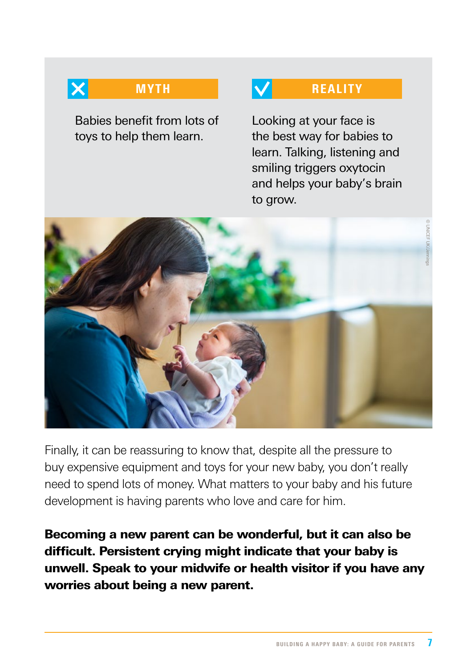$\boldsymbol{\times}$ 

Babies benefit from lots of toys to help them learn.

#### MYTH **V** REALITY

Looking at your face is the best way for babies to learn. Talking, listening and smiling triggers oxytocin and helps your baby's brain to grow.

![](_page_6_Picture_4.jpeg)

Finally, it can be reassuring to know that, despite all the pressure to buy expensive equipment and toys for your new baby, you don't really need to spend lots of money. What matters to your baby and his future development is having parents who love and care for him.

Becoming a new parent can be wonderful, but it can also be difficult. Persistent crying might indicate that your baby is unwell. Speak to your midwife or health visitor if you have any worries about being a new parent.